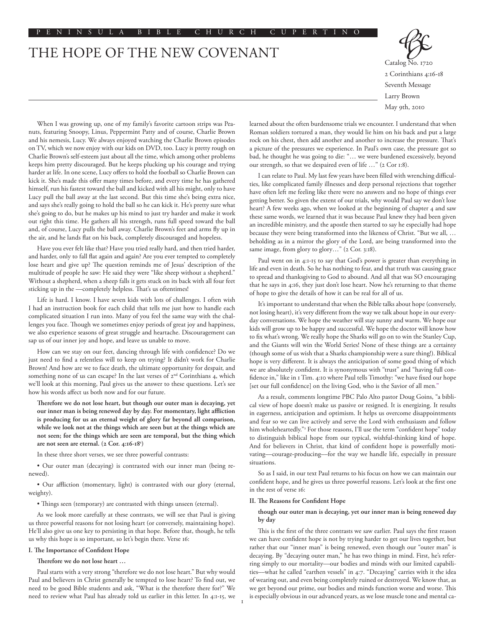# THE HOPE OF THE NEW COVENANT



When I was growing up, one of my family's favorite cartoon strips was Peanuts, featuring Snoopy, Linus, Peppermint Patty and of course, Charlie Brown and his nemesis, Lucy. We always enjoyed watching the Charlie Brown episodes on TV, which we now enjoy with our kids on DVD, too. Lucy is pretty rough on Charlie Brown's self-esteem just about all the time, which among other problems keeps him pretty discouraged. But he keeps plucking up his courage and trying harder at life. In one scene, Lucy offers to hold the football so Charlie Brown can kick it. She's made this offer many times before, and every time he has gathered himself, run his fastest toward the ball and kicked with all his might, only to have Lucy pull the ball away at the last second. But this time she's being extra nice, and says she's really going to hold the ball so he can kick it. He's pretty sure what she's going to do, but he makes up his mind to just try harder and make it work out right this time. He gathers all his strength, runs full speed toward the ball and, of course, Lucy pulls the ball away. Charlie Brown's feet and arms fly up in the air, and he lands flat on his back, completely discouraged and hopeless.

Have you ever felt like that? Have you tried really hard, and then tried harder, and harder, only to fall flat again and again? Are you ever tempted to completely lose heart and give up? The question reminds me of Jesus' description of the multitude of people he saw: He said they were "like sheep without a shepherd." Without a shepherd, when a sheep falls it gets stuck on its back with all four feet sticking up in the ––completely helpless. That's us oftentimes!

Life is hard. I know. I have seven kids with lots of challenges. I often wish I had an instruction book for each child that tells me just how to handle each complicated situation I run into. Many of you feel the same way with the challenges you face. Though we sometimes enjoy periods of great joy and happiness, we also experience seasons of great struggle and heartache. Discouragement can sap us of our inner joy and hope, and leave us unable to move.

How can we stay on our feet, dancing through life with confidence? Do we just need to find a relentless will to keep on trying? It didn't work for Charlie Brown! And how are we to face death, the ultimate opportunity for despair, and something none of us can escape? In the last verses of  $2<sup>nd</sup>$  Corinthians 4, which we'll look at this morning, Paul gives us the answer to these questions. Let's see how his words affect us both now and for our future.

**Therefore we do not lose heart, but though our outer man is decaying, yet our inner man is being renewed day by day. For momentary, light affliction is producing for us an eternal weight of glory far beyond all comparison, while we look not at the things which are seen but at the things which are not seen; for the things which are seen are temporal, but the thing which are not seen are eternal. (2 Cor. 4:16-181 )**

In these three short verses, we see three powerful contrasts:

• Our outer man (decaying) is contrasted with our inner man (being renewed).

• Our affliction (momentary, light) is contrasted with our glory (eternal, weighty).

• Things seen (temporary) are contrasted with things unseen (eternal).

As we look more carefully at these contrasts, we will see that Paul is giving us three powerful reasons for not losing heart (or conversely, maintaining hope). He'll also give us one key to persisting in that hope. Before that, though, he tells us why this hope is so important, so let's begin there. Verse 16:

# **I. The Importance of Confident Hope**

**Therefore we do not lose heart …**

Paul starts with a very strong "therefore we do not lose heart." But why would Paul and believers in Christ generally be tempted to lose heart? To find out, we need to be good Bible students and ask, "What is the therefore there for?" We need to review what Paul has already told us earlier in this letter. In 4:1-15, we learned about the often burdensome trials we encounter. I understand that when Roman soldiers tortured a man, they would lie him on his back and put a large rock on his chest, then add another and another to increase the pressure. That's a picture of the pressures we experience. In Paul's own case, the pressure got so bad, he thought he was going to die: "… we were burdened excessively, beyond our strength, so that we despaired even of life …" (2 Cor 1:8).

I can relate to Paul. My last few years have been filled with wrenching difficulties, like complicated family illnesses and deep personal rejections that together have often left me feeling like there were no answers and no hope of things ever getting better. So given the extent of our trials, why would Paul say we don't lose heart? A few weeks ago, when we looked at the beginning of chapter 4 and saw these same words, we learned that it was because Paul knew they had been given an incredible ministry, and the apostle then started to say he especially had hope because they were being transformed into the likeness of Christ. "But we all, … beholding as in a mirror the glory of the Lord, are being transformed into the same image, from glory to glory..." (2 Cor. 3:18).

Paul went on in 4:1-15 to say that God's power is greater than everything in life and even in death. So he has nothing to fear, and that truth was causing grace to spread and thanksgiving to God to abound. And all that was SO encouraging that he says in 4:16, they just don't lose heart. Now he's returning to that theme of hope to give the details of how it can be real for all of us.

It's important to understand that when the Bible talks about hope (conversely, not losing heart), it's very different from the way we talk about hope in our everyday conversations. We hope the weather will stay sunny and warm. We hope our kids will grow up to be happy and successful. We hope the doctor will know how to fix what's wrong. We really hope the Sharks will go on to win the Stanley Cup, and the Giants will win the World Series! None of these things are a certainty (though some of us wish that a Sharks championship were a sure thing!). Biblical hope is very different. It is always the anticipation of some good thing of which we are absolutely confident. It is synonymous with "trust" and "having full confidence in," like in 1 Tim. 4:10 where Paul tells Timothy: "we have fixed our hope [set our full confidence] on the living God, who is the Savior of all men.'

As a result, comments longtime PBC Palo Alto pastor Doug Goins, "a biblical view of hope doesn't make us passive or resigned. It is energizing. It results in eagerness, anticipation and optimism. It helps us overcome disappointments and fear so we can live actively and serve the Lord with enthusiasm and follow him wholeheartedly."2 For those reasons, I'll use the term "confident hope" today to distinguish biblical hope from our typical, wishful-thinking kind of hope. And for believers in Christ, that kind of confident hope is powerfully motivating––courage-producing––for the way we handle life, especially in pressure situations.

So as I said, in our text Paul returns to his focus on how we can maintain our confident hope, and he gives us three powerful reasons. Let's look at the first one in the rest of verse 16:

#### **II. The Reasons for Confident Hope**

#### **though our outer man is decaying, yet our inner man is being renewed day by day**

This is the first of the three contrasts we saw earlier. Paul says the first reason we can have confident hope is not by trying harder to get our lives together, but rather that our "inner man" is being renewed, even though our "outer man" is decaying. By "decaying outer man," he has two things in mind. First, he's referring simply to our mortality––our bodies and minds with our limited capabilities––what he called "earthen vessels" in 4:7. "Decaying" carries with it the idea of wearing out, and even being completely ruined or destroyed. We know that, as we get beyond our prime, our bodies and minds function worse and worse. This is especially obvious in our advanced years, as we lose muscle tone and mental ca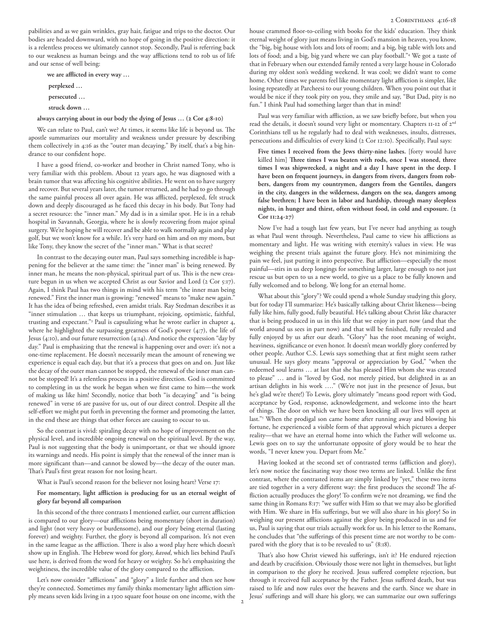pabilities and as we gain wrinkles, gray hair, fatigue and trips to the doctor. Our bodies are headed downward, with no hope of going in the positive direction: it is a relentless process we ultimately cannot stop. Secondly, Paul is referring back to our weakness as human beings and the way afflictions tend to rob us of life and our sense of well being:

 **we are afflicted in every way … perplexed … persecuted … struck down …** 

### **always carrying about in our body the dying of Jesus … (2 Cor 4:8-10)**

We can relate to Paul, can't we? At times, it seems like life is beyond us. The apostle summarizes our mortality and weakness under pressure by describing them collectively in 4:16 as the "outer man decaying." By itself, that's a big hindrance to our confident hope.

I have a good friend, co-worker and brother in Christ named Tony, who is very familiar with this problem. About 12 years ago, he was diagnosed with a brain tumor that was affecting his cognitive abilities. He went on to have surgery and recover. But several years later, the tumor returned, and he had to go through the same painful process all over again. He was afflicted, perplexed, felt struck down and deeply discouraged as he faced this decay in his body. But Tony had a secret resource: the "inner man." My dad is in a similar spot. He is in a rehab hospital in Savannah, Georgia, where he is slowly recovering from major spinal surgery. We're hoping he will recover and be able to walk normally again and play golf, but we won't know for a while. It's very hard on him and on my mom, but like Tony, they know the secret of the "inner man." What is that secret?

In contrast to the decaying outer man, Paul says something incredible is happening for the believer at the same time: the "inner man" is being renewed. By inner man, he means the non-physical, spiritual part of us. This is the new creature begun in us when we accepted Christ as our Savior and Lord (2 Cor 5:17). Again, I think Paul has two things in mind with his term "the inner man being renewed." First the inner man is growing: "renewed" means to "make new again." It has the idea of being refreshed, even amidst trials. Ray Stedman describes it as "inner stimulation … that keeps us triumphant, rejoicing, optimistic, faithful, trusting and expectant."3 Paul is capsulizing what he wrote earlier in chapter 4, where he highlighted the surpassing greatness of God's power (4:7), the life of Jesus (4:10), and our future resurrection (4:14). And notice the expression "day by day." Paul is emphasizing that the renewal is happening over and over: it's not a one-time replacement. He doesn't necessarily mean the amount of renewing we experience is equal each day, but that it's a process that goes on and on. Just like the decay of the outer man cannot be stopped, the renewal of the inner man cannot be stopped! It's a relentless process in a positive direction. God is committed to completing in us the work he began when we first came to him––the work of making us like him! Secondly, notice that both "is decaying" and "is being renewed" in verse 16 are passive for us, out of our direct control. Despite all the self-effort we might put forth in preventing the former and promoting the latter, in the end these are things that other forces are causing to occur to us.

So the contrast is vivid: spiraling decay with no hope of improvement on the physical level, and incredible ongoing renewal on the spiritual level. By the way, Paul is not suggesting that the body is unimportant, or that we should ignore its warnings and needs. His point is simply that the renewal of the inner man is more significant than––and cannot be slowed by––the decay of the outer man. That's Paul's first great reason for not losing heart.

What is Paul's second reason for the believer not losing heart? Verse 17:

# **For momentary, light affliction is producing for us an eternal weight of glory far beyond all comparison**

In this second of the three contrasts I mentioned earlier, our current affliction is compared to our glory––our afflictions being momentary (short in duration) and light (not very heavy or burdensome), and our glory being eternal (lasting forever) and weighty. Further, the glory is beyond all comparison. It's not even in the same league as the affliction. There is also a word play here which doesn't show up in English. The Hebrew word for glory, *kavod*, which lies behind Paul's use here, is derived from the word for heavy or weighty. So he's emphasizing the weightiness, the incredible value of the glory compared to the affliction.

Let's now consider "afflictions" and "glory" a little further and then see how they're connected. Sometimes my family thinks momentary light affliction simply means seven kids living in a 1300 square foot house on one income, with the house crammed floor-to-ceiling with books for the kids' education. They think eternal weight of glory just means living in God's mansion in heaven, you know, the "big, big house with lots and lots of room; and a big, big table with lots and lots of food; and a big, big yard where we can play football."4 We got a taste of that in February when our extended family rented a very large house in Colorado during my oldest son's wedding weekend. It was cool; we didn't want to come home. Other times we parents feel like momentary light affliction is simpler, like losing repeatedly at Parcheesi to our young children. When you point out that it would be nice if they took pity on you, they smile and say, "But Dad, pity is no fun." I think Paul had something larger than that in mind!

Paul was very familiar with affliction, as we saw briefly before, but when you read the details, it doesn't sound very light or momentary. Chapters II-I2 of 2<sup>nd</sup> Corinthians tell us he regularly had to deal with weaknesses, insults, distresses, persecutions and difficulties of every kind (2 Cor 12:10). Specifically, Paul says:

Five times I received from the Jews thirty-nine lashes. [forty would have killed him] **Three times I was beaten with rods, once I was stoned, three times I was shipwrecked, a night and a day I have spent in the deep. I have been on frequent journeys, in dangers from rivers, dangers from robbers, dangers from my countrymen, dangers from the Gentiles, dangers in the city, dangers in the wilderness, dangers on the sea, dangers among false brethren; I have been in labor and hardship, through many sleepless nights, in hunger and thirst, often without food, in cold and exposure. (2 Cor 11:24-27)**

Now I've had a tough last few years, but I've never had anything as tough as what Paul went through. Nevertheless, Paul came to view his afflictions as momentary and light. He was writing with eternity's values in view. He was weighing the present trials against the future glory. He's not minimizing the pain we feel, just putting it into perspective. But affliction––especially the most painful––stirs in us deep longings for something larger, large enough to not just rescue us but open to us a new world, to give us a place to be fully known and fully welcomed and to belong. We long for an eternal home.

What about this "glory"? We could spend a whole Sunday studying this glory, but for today I'll summarize: He's basically talking about Christ likeness––being fully like him, fully good, fully beautiful. He's talking about Christ like character that is being produced in us in this life that we enjoy in part now (and that the world around us sees in part now) and that will be finished, fully revealed and fully enjoyed by us after our death. "Glory" has the root meaning of weight, heaviness, significance or even honor. It doesn't mean worldly glory conferred by other people. Author C.S. Lewis says something that at first might seem rather unusual. He says glory means "approval or appreciation by God," "when the redeemed soul learns … at last that she has pleased Him whom she was created to please" … and is "loved by God, not merely pitied, but delighted in as an artisan delights in his work …." (We're not just in the presence of Jesus, but he's glad we're there!) To Lewis, glory ultimately "means good report with God, acceptance by God, response, acknowledgement, and welcome into the heart of things. The door on which we have been knocking all our lives will open at last."5 When the prodigal son came home after running away and blowing his fortune, he experienced a visible form of that approval which pictures a deeper reality––that we have an eternal home into which the Father will welcome us. Lewis goes on to say the unfortunate opposite of glory would be to hear the words, "I never knew you. Depart from Me."

Having looked at the second set of contrasted terms (affliction and glory), let's now notice the fascinating way those two terms are linked. Unlike the first contrast, where the contrasted items are simply linked by "yet," these two items are tied together in a very different way: the first produces the second! The affliction actually produces the glory! To confirm we're not dreaming, we find the same thing in Romans 8:17: "we suffer with Him so that we may also be glorified with Him. We share in His sufferings, but we will also share in his glory! So in weighing our present afflictions against the glory being produced in us and for us, Paul is saying that our trials actually work for us. In his letter to the Romans, he concludes that "the sufferings of this present time are not worthy to be compared with the glory that is to be revealed to us" (8:18).

That's also how Christ viewed his sufferings, isn't it? He endured rejection and death by crucifixion. Obviously those were not light in themselves, but light in comparison to the glory he received. Jesus suffered complete rejection, but through it received full acceptance by the Father. Jesus suffered death, but was raised to life and now rules over the heavens and the earth. Since we share in Jesus' sufferings and will share his glory, we can summarize our own sufferings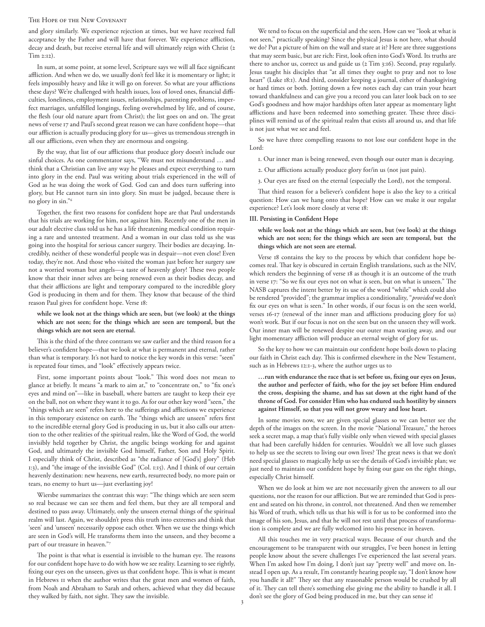#### The Hope of the New Covenant

and glory similarly. We experience rejection at times, but we have received full acceptance by the Father and will have that forever. We experience affliction, decay and death, but receive eternal life and will ultimately reign with Christ (2 Tim 2:12).

In sum, at some point, at some level, Scripture says we will all face significant affliction. And when we do, we usually don't feel like it is momentary or light; it feels impossibly heavy and like it will go on forever. So what are your afflictions these days? We're challenged with health issues, loss of loved ones, financial difficulties, loneliness, employment issues, relationships, parenting problems, imperfect marriages, unfulfilled longings, feeling overwhelmed by life, and of course, the flesh (our old nature apart from Christ); the list goes on and on. The great news of verse 17 and Paul's second great reason we can have confident hope––that our affliction is actually producing glory for us––gives us tremendous strength in all our afflictions, even when they are enormous and ongoing.

By the way, that list of our afflictions that produce glory doesn't include our sinful choices. As one commentator says, "We must not misunderstand … and think that a Christian can live any way he pleases and expect everything to turn into glory in the end. Paul was writing about trials experienced in the will of God as he was doing the work of God. God can and does turn suffering into glory, but He cannot turn sin into glory. Sin must be judged, because there is no glory in sin."6

Together, the first two reasons for confident hope are that Paul understands that his trials are working for him, not against him. Recently one of the men in our adult elective class told us he has a life threatening medical condition requiring a rare and untested treatment. And a woman in our class told us she was going into the hospital for serious cancer surgery. Their bodies are decaying. Incredibly, neither of these wonderful people was in despair––not even close! Even today, they're not. And those who visited the woman just before her surgery saw not a worried woman but angels––a taste of heavenly glory! These two people know that their inner selves are being renewed even as their bodies decay, and that their afflictions are light and temporary compared to the incredible glory God is producing in them and for them. They know that because of the third reason Paul gives for confident hope. Verse 18:

## **while we look not at the things which are seen, but (we look) at the things which are not seen; for the things which are seen are temporal, but the things which are not seen are eternal.**

This is the third of the three contrasts we saw earlier and the third reason for a believer's confident hope––that we look at what is permanent and eternal, rather than what is temporary. It's not hard to notice the key words in this verse: "seen" is repeated four times, and "look" effectively appears twice.

First, some important points about "look." This word does not mean to glance at briefly. It means "a mark to aim at," to "concentrate on," to "fix one's eyes and mind on"––like in baseball, where batters are taught to keep their eye on the ball, not on where they want it to go. As for our other key word "seen," the "things which are seen" refers here to the sufferings and afflictions we experience in this temporary existence on earth. The "things which are unseen" refers first to the incredible eternal glory God is producing in us, but it also calls our attention to the other realities of the spiritual realm, like the Word of God, the world invisibly held together by Christ, the angelic beings working for and against God, and ultimately the invisible God himself, Father, Son and Holy Spirit. I especially think of Christ, described as "the radiance of [God's] glory" (Heb 1:3), and "the image of the invisible God" (Col. 1:15). And I think of our certain heavenly destination: new heavens, new earth, resurrected body, no more pain or tears, no enemy to hurt us--just everlasting joy!

Wiersbe summarizes the contrast this way: "The things which are seen seem so real because we can see them and feel them, but they are all temporal and destined to pass away. Ultimately, only the unseen eternal things of the spiritual realm will last. Again, we shouldn't press this truth into extremes and think that 'seen' and 'unseen' necessarily oppose each other. When we use the things which are seen in God's will, He transforms them into the unseen, and they become a part of our treasure in heaven."7

The point is that what is essential is invisible to the human eye. The reasons for our confident hope have to do with how we see reality. Learning to see rightly, fixing our eyes on the unseen, gives us that confident hope. This is what is meant in Hebrews 11 when the author writes that the great men and women of faith, from Noah and Abraham to Sarah and others, achieved what they did because they walked by faith, not sight. They saw the invisible.

We tend to focus on the superficial and the seen. How can we "look at what is not seen," practically speaking? Since the physical Jesus is not here, what should we do? Put a picture of him on the wall and stare at it? Here are three suggestions that may seem basic, but are rich: First, look often into God's Word. Its truths are there to anchor us, correct us and guide us (2 Tim 3:16). Second, pray regularly. Jesus taught his disciples that "at all times they ought to pray and not to lose heart" (Luke 18:1). And third, consider keeping a journal, either of thanksgiving or hard times or both. Jotting down a few notes each day can train your heart toward thankfulness and can give you a record you can later look back on to see God's goodness and how major hardships often later appear as momentary light afflictions and have been redeemed into something greater. These three disciplines will remind us of the spiritual realm that exists all around us, and that life is not just what we see and feel.

So we have three compelling reasons to not lose our confident hope in the Lord:

- 1. Our inner man is being renewed, even though our outer man is decaying.
- 2. Our afflictions actually produce glory for/in us (not just pain).
- 3. Our eyes are fixed on the eternal (especially the Lord), not the temporal.

That third reason for a believer's confident hope is also the key to a critical question: How can we hang onto that hope? How can we make it our regular experience? Let's look more closely at verse 18:

#### **III. Persisting in Confident Hope**

**while we look not at the things which are seen, but (we look) at the things which are not seen; for the things which are seen are temporal, but the things which are not seen are eternal.** 

Verse 18 contains the key to the process by which that confident hope becomes real. That key is obscured in certain English translations, such as the NIV, which renders the beginning of verse 18 as though it is an outcome of the truth in verse 17: "So we fix our eyes not on what is seen, but on what is unseen." The NASB captures the intent better by its use of the word "while" which could also be rendered "provided"; the grammar implies a conditionality, "*provided* we don't fix our eyes on what is seen." In other words, if our focus is on the seen world, verses 16-17 (renewal of the inner man and afflictions producing glory for us) won't work. But if our focus is not on the seen but on the unseen they will work. Our inner man will be renewed despite our outer man wasting away, and our light momentary affliction will produce an eternal weight of glory for us.

So the key to how we can maintain our confident hope boils down to placing our faith in Christ each day. This is confirmed elsewhere in the New Testament, such as in Hebrews 12:1-3, where the author urges us to

# **…run with endurance the race that is set before us, fixing our eyes on Jesus, the author and perfecter of faith, who for the joy set before Him endured the cross, despising the shame, and has sat down at the right hand of the throne of God. For consider Him who has endured such hostility by sinners against Himself, so that you will not grow weary and lose heart.**

In some movies now, we are given special glasses so we can better see the depth of the images on the screen. In the movie "National Treasure," the heroes seek a secret map, a map that's fully visible only when viewed with special glasses that had been carefully hidden for centuries. Wouldn't we all love such glasses to help us see the secrets to living our own lives? The great news is that we don't need special glasses to magically help us see the details of God's invisible plan; we just need to maintain our confident hope by fixing our gaze on the right things, especially Christ himself.

When we do look at him we are not necessarily given the answers to all our questions, nor the reason for our affliction. But we are reminded that God is present and seated on his throne, in control, not threatened. And then we remember his Word of truth, which tells us that his will is for us to be conformed into the image of his son, Jesus, and that he will not rest until that process of transformation is complete and we are fully welcomed into his presence in heaven.

All this touches me in very practical ways. Because of our church and the encouragement to be transparent with our struggles, I've been honest in letting people know about the severe challenges I've experienced the last several years. When I'm asked how I'm doing, I don't just say "pretty well" and move on. Instead I open up. As a result, I'm constantly hearing people say, "I don't know how you handle it all!" They see that any reasonable person would be crushed by all of it. They can tell there's something else giving me the ability to handle it all. I don't see the glory of God being produced in me, but they can sense it!